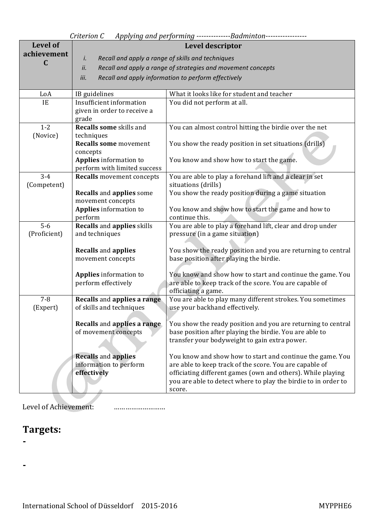|                       | Criterion C                                                         | Applying and performing --------------Badminton-----------------                                                     |
|-----------------------|---------------------------------------------------------------------|----------------------------------------------------------------------------------------------------------------------|
| <b>Level of</b>       | Level descriptor                                                    |                                                                                                                      |
| achievement           | Recall and apply a range of skills and techniques<br>i.             |                                                                                                                      |
| $\mathbf C$           | Recall and apply a range of strategies and movement concepts<br>ii. |                                                                                                                      |
|                       | iii.                                                                | Recall and apply information to perform effectively                                                                  |
|                       |                                                                     |                                                                                                                      |
| LoA                   | IB guidelines                                                       | What it looks like for student and teacher                                                                           |
| IE                    | Insufficient information                                            | You did not perform at all.                                                                                          |
|                       | given in order to receive a                                         |                                                                                                                      |
|                       | grade                                                               |                                                                                                                      |
| $1 - 2$               | Recalls some skills and                                             | You can almost control hitting the birdie over the net                                                               |
| (Novice)              | techniques                                                          |                                                                                                                      |
|                       | <b>Recalls some movement</b>                                        | You show the ready position in set situations (drills)                                                               |
|                       | concepts<br><b>Applies</b> information to                           | You know and show how to start the game.                                                                             |
|                       | perform with limited success                                        |                                                                                                                      |
| $3 - 4$               | <b>Recalls</b> movement concepts                                    | You are able to play a forehand lift and a clear in set                                                              |
| (Competent)           |                                                                     | situations (drills)                                                                                                  |
|                       | <b>Recalls and applies some</b>                                     | You show the ready position during a game situation                                                                  |
|                       | movement concepts                                                   |                                                                                                                      |
|                       | <b>Applies</b> information to                                       | You know and show how to start the game and how to                                                                   |
|                       | perform                                                             | continue this.                                                                                                       |
| $5-6$<br>(Proficient) | <b>Recalls and applies skills</b><br>and techniques                 | You are able to play a forehand lift, clear and drop under<br>pressure (in a game situation)                         |
|                       |                                                                     |                                                                                                                      |
|                       | <b>Recalls and applies</b>                                          | You show the ready position and you are returning to central                                                         |
|                       | movement concepts                                                   | base position after playing the birdie.                                                                              |
|                       |                                                                     |                                                                                                                      |
|                       | <b>Applies</b> information to                                       | You know and show how to start and continue the game. You                                                            |
|                       | perform effectively                                                 | are able to keep track of the score. You are capable of                                                              |
| $7 - 8$               | Recalls and applies a range                                         | officiating a game.<br>You are able to play many different strokes. You sometimes                                    |
| (Expert)              | of skills and techniques                                            | use your backhand effectively.                                                                                       |
|                       |                                                                     |                                                                                                                      |
|                       | Recalls and applies a range                                         | You show the ready position and you are returning to central                                                         |
|                       | of movement concepts                                                | base position after playing the birdie. You are able to                                                              |
|                       |                                                                     | transfer your bodyweight to gain extra power.                                                                        |
|                       |                                                                     |                                                                                                                      |
|                       | <b>Recalls and applies</b><br>information to perform                | You know and show how to start and continue the game. You<br>are able to keep track of the score. You are capable of |
|                       | effectively                                                         | officiating different games (own and others). While playing                                                          |
|                       |                                                                     | you are able to detect where to play the birdie to in order to                                                       |
|                       |                                                                     | score.                                                                                                               |
|                       |                                                                     |                                                                                                                      |

Level of Achievement: ………………………

## **Targets:**

**-**

**-**

International School of Düsseldorf 2015-2016 MYPPHE6